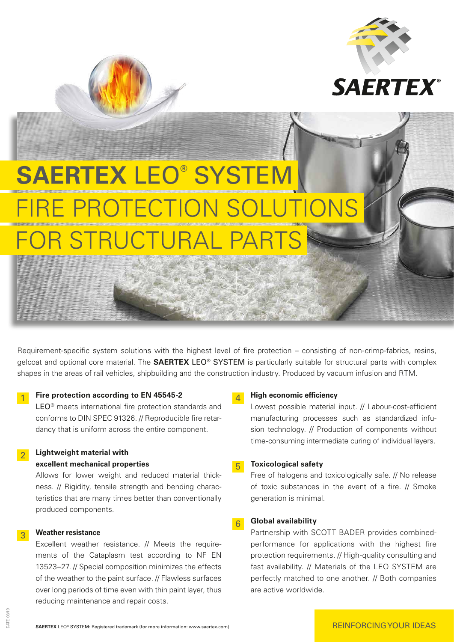

# **SAERTEX** LEO**®** SYSTEM E PROTECTION SO R STRUCTURAL PA

Requirement-specific system solutions with the highest level of fire protection – consisting of non-crimp-fabrics, resins, gelcoat and optional core material. The **SAERTEX** LEO**®** SYSTEM is particularly suitable for structural parts with complex shapes in the areas of rail vehicles, shipbuilding and the construction industry. Produced by vacuum infusion and RTM.

#### **1** Fire protection according to EN 45545-2

 LEO**®** meets international fire protection standards and conforms to DIN SPEC 91326. // Reproducible fire retardancy that is uniform across the entire component.

#### 2 **Lightweight material with excellent mechanical properties**

 Allows for lower weight and reduced material thickness. // Rigidity, tensile strength and bending characteristics that are many times better than conventionally produced components.

#### 3 **Weather resistance**

 Excellent weather resistance. // Meets the requirements of the Cataplasm test according to NF EN 13523–27. // Special composition minimizes the effects of the weather to the paint surface. // Flawless surfaces over long periods of time even with thin paint layer, thus reducing maintenance and repair costs.

#### 4 **High economic efficiency**

 Lowest possible material input. // Labour-cost-efficient manufacturing processes such as standardized infusion technology. // Production of components without time-consuming intermediate curing of individual layers.

#### 5 **Toxicological safety**

 Free of halogens and toxicologically safe. // No release of toxic substances in the event of a fire. // Smoke generation is minimal.

#### 6 **Global availability**

 Partnership with SCOTT BADER provides combinedperformance for applications with the highest fire protection requirements. // High-quality consulting and fast availability. // Materials of the LEO SYSTEM are perfectly matched to one another. // Both companies are active worldwide.